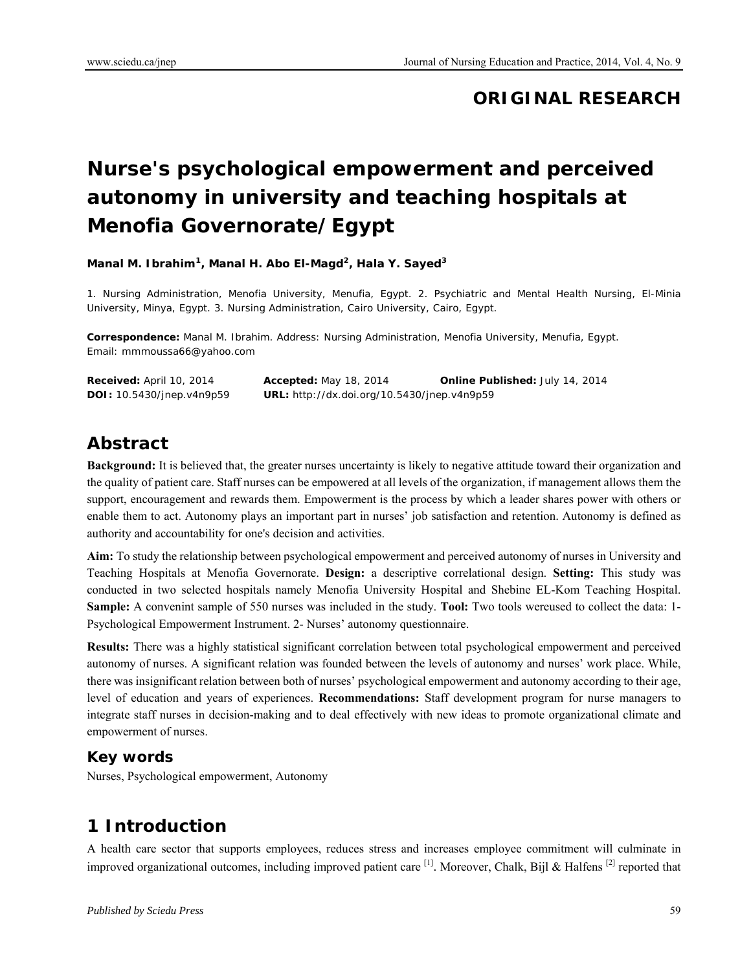# **ORIGINAL RESEARCH**

# **Nurse's psychological empowerment and perceived autonomy in university and teaching hospitals at Menofia Governorate/Egypt**

Manal M. Ibrahim<sup>1</sup>, Manal H. Abo El-Magd<sup>2</sup>, Hala Y. Sayed<sup>3</sup>

1. Nursing Administration, Menofia University, Menufia, Egypt. 2. Psychiatric and Mental Health Nursing, El-Minia University, Minya, Egypt. 3. Nursing Administration, Cairo University, Cairo, Egypt.

**Correspondence:** Manal M. Ibrahim. Address: Nursing Administration, Menofia University, Menufia, Egypt. Email: mmmoussa66@yahoo.com

| <b>Received:</b> April 10, 2014  | Accepted: May 18, 2014                             | <b>Online Published: July 14, 2014</b> |
|----------------------------------|----------------------------------------------------|----------------------------------------|
| <b>DOI:</b> 10.5430/jnep.v4n9p59 | <b>URL:</b> http://dx.doi.org/10.5430/jnep.v4n9p59 |                                        |

# **Abstract**

**Background:** It is believed that, the greater nurses uncertainty is likely to negative attitude toward their organization and the quality of patient care. Staff nurses can be empowered at all levels of the organization, if management allows them the support, encouragement and rewards them. Empowerment is the process by which a leader shares power with others or enable them to act. Autonomy plays an important part in nurses' job satisfaction and retention. Autonomy is defined as authority and accountability for one's decision and activities.

**Aim:** To study the relationship between psychological empowerment and perceived autonomy of nurses in University and Teaching Hospitals at Menofia Governorate. **Design:** a descriptive correlational design. **Setting:** This study was conducted in two selected hospitals namely Menofia University Hospital and Shebine EL-Kom Teaching Hospital. **Sample:** A convenint sample of 550 nurses was included in the study. **Tool:** Two tools wereused to collect the data: 1- Psychological Empowerment Instrument. 2- Nurses' autonomy questionnaire.

**Results:** There was a highly statistical significant correlation between total psychological empowerment and perceived autonomy of nurses. A significant relation was founded between the levels of autonomy and nurses' work place. While, there was insignificant relation between both of nurses' psychological empowerment and autonomy according to their age, level of education and years of experiences. **Recommendations:** Staff development program for nurse managers to integrate staff nurses in decision-making and to deal effectively with new ideas to promote organizational climate and empowerment of nurses.

#### **Key words**

Nurses, Psychological empowerment, Autonomy

### **1 Introduction**

A health care sector that supports employees, reduces stress and increases employee commitment will culminate in improved organizational outcomes, including improved patient care  $^{[1]}$ . Moreover, Chalk, Bijl & Halfens  $^{[2]}$  reported that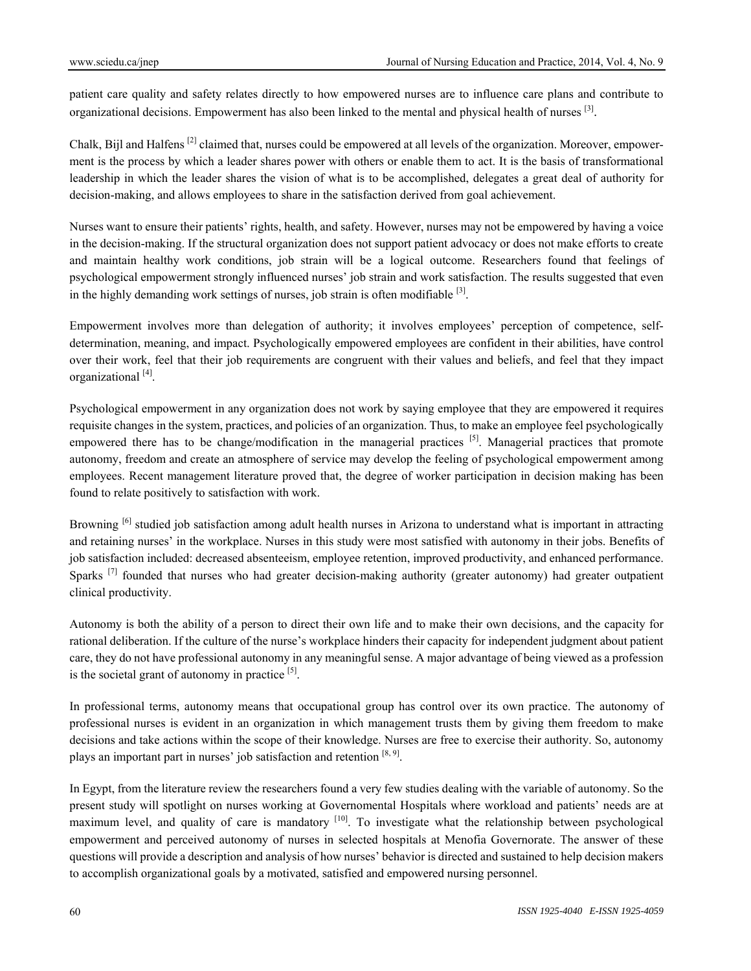patient care quality and safety relates directly to how empowered nurses are to influence care plans and contribute to organizational decisions. Empowerment has also been linked to the mental and physical health of nurses  $[3]$ .

Chalk, Bijl and Halfens [2] claimed that, nurses could be empowered at all levels of the organization. Moreover, empowerment is the process by which a leader shares power with others or enable them to act. It is the basis of transformational leadership in which the leader shares the vision of what is to be accomplished, delegates a great deal of authority for decision-making, and allows employees to share in the satisfaction derived from goal achievement.

Nurses want to ensure their patients' rights, health, and safety. However, nurses may not be empowered by having a voice in the decision-making. If the structural organization does not support patient advocacy or does not make efforts to create and maintain healthy work conditions, job strain will be a logical outcome. Researchers found that feelings of psychological empowerment strongly influenced nurses' job strain and work satisfaction. The results suggested that even in the highly demanding work settings of nurses, job strain is often modifiable [3].

Empowerment involves more than delegation of authority; it involves employees' perception of competence, selfdetermination, meaning, and impact. Psychologically empowered employees are confident in their abilities, have control over their work, feel that their job requirements are congruent with their values and beliefs, and feel that they impact organizational [4].

Psychological empowerment in any organization does not work by saying employee that they are empowered it requires requisite changes in the system, practices, and policies of an organization. Thus, to make an employee feel psychologically empowered there has to be change/modification in the managerial practices [5]. Managerial practices that promote autonomy, freedom and create an atmosphere of service may develop the feeling of psychological empowerment among employees. Recent management literature proved that, the degree of worker participation in decision making has been found to relate positively to satisfaction with work.

Browning <sup>[6]</sup> studied job satisfaction among adult health nurses in Arizona to understand what is important in attracting and retaining nurses' in the workplace. Nurses in this study were most satisfied with autonomy in their jobs. Benefits of job satisfaction included: decreased absenteeism, employee retention, improved productivity, and enhanced performance. Sparks  $[7]$  founded that nurses who had greater decision-making authority (greater autonomy) had greater outpatient clinical productivity.

Autonomy is both the ability of a person to direct their own life and to make their own decisions, and the capacity for rational deliberation. If the culture of the nurse's workplace hinders their capacity for independent judgment about patient care, they do not have professional autonomy in any meaningful sense. A major advantage of being viewed as a profession is the societal grant of autonomy in practice  $[5]$ .

In professional terms, autonomy means that occupational group has control over its own practice. The autonomy of professional nurses is evident in an organization in which management trusts them by giving them freedom to make decisions and take actions within the scope of their knowledge. Nurses are free to exercise their authority. So, autonomy plays an important part in nurses' job satisfaction and retention  $[8, 9]$ .

In Egypt, from the literature review the researchers found a very few studies dealing with the variable of autonomy. So the present study will spotlight on nurses working at Governomental Hospitals where workload and patients' needs are at maximum level, and quality of care is mandatory [10]. To investigate what the relationship between psychological empowerment and perceived autonomy of nurses in selected hospitals at Menofia Governorate. The answer of these questions will provide a description and analysis of how nurses' behavior is directed and sustained to help decision makers to accomplish organizational goals by a motivated, satisfied and empowered nursing personnel.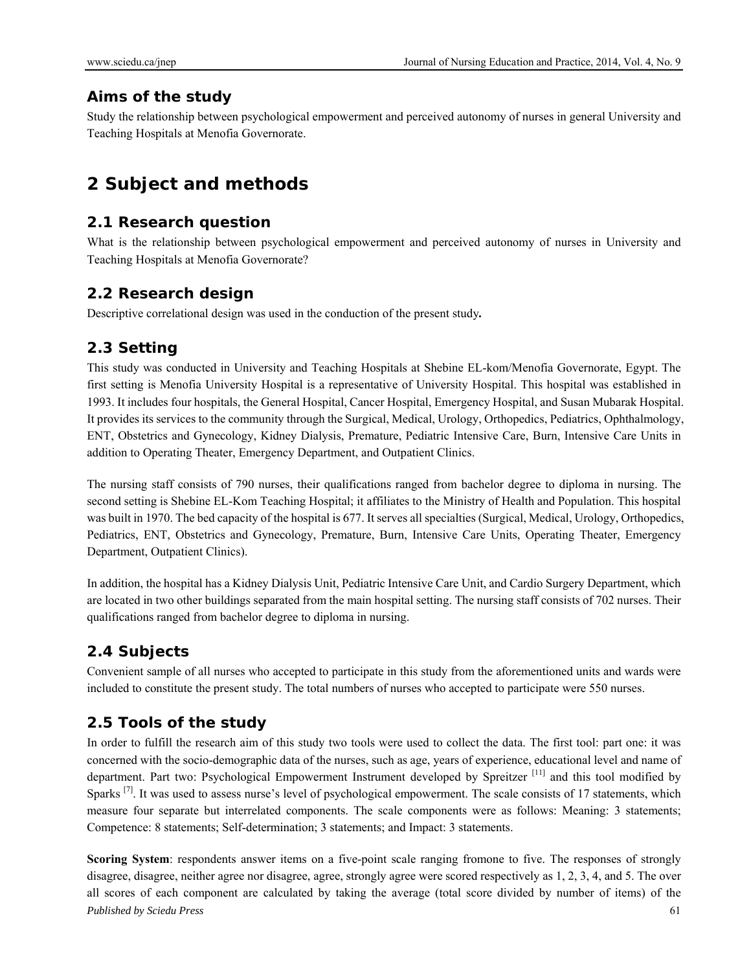#### **Aims of the study**

Study the relationship between psychological empowerment and perceived autonomy of nurses in general University and Teaching Hospitals at Menofia Governorate.

# **2 Subject and methods**

#### **2.1 Research question**

What is the relationship between psychological empowerment and perceived autonomy of nurses in University and Teaching Hospitals at Menofia Governorate?

#### **2.2 Research design**

Descriptive correlational design was used in the conduction of the present study*.* 

#### **2.3 Setting**

This study was conducted in University and Teaching Hospitals at Shebine EL-kom/Menofia Governorate, Egypt. The first setting is Menofia University Hospital is a representative of University Hospital. This hospital was established in 1993. It includes four hospitals, the General Hospital, Cancer Hospital, Emergency Hospital, and Susan Mubarak Hospital. It provides its services to the community through the Surgical, Medical, Urology, Orthopedics, Pediatrics, Ophthalmology, ENT, Obstetrics and Gynecology, Kidney Dialysis, Premature, Pediatric Intensive Care, Burn, Intensive Care Units in addition to Operating Theater, Emergency Department, and Outpatient Clinics.

The nursing staff consists of 790 nurses, their qualifications ranged from bachelor degree to diploma in nursing. The second setting is Shebine EL-Kom Teaching Hospital; it affiliates to the Ministry of Health and Population. This hospital was built in 1970. The bed capacity of the hospital is 677. It serves all specialties (Surgical, Medical, Urology, Orthopedics, Pediatrics, ENT, Obstetrics and Gynecology, Premature, Burn, Intensive Care Units, Operating Theater, Emergency Department, Outpatient Clinics).

In addition, the hospital has a Kidney Dialysis Unit, Pediatric Intensive Care Unit, and Cardio Surgery Department, which are located in two other buildings separated from the main hospital setting. The nursing staff consists of 702 nurses. Their qualifications ranged from bachelor degree to diploma in nursing.

#### **2.4 Subjects**

Convenient sample of all nurses who accepted to participate in this study from the aforementioned units and wards were included to constitute the present study. The total numbers of nurses who accepted to participate were 550 nurses.

#### **2.5 Tools of the study**

In order to fulfill the research aim of this study two tools were used to collect the data. The first tool: part one: it was concerned with the socio-demographic data of the nurses, such as age, years of experience, educational level and name of department. Part two: Psychological Empowerment Instrument developed by Spreitzer<sup>[11]</sup> and this tool modified by Sparks  $^{[7]}$ . It was used to assess nurse's level of psychological empowerment. The scale consists of 17 statements, which measure four separate but interrelated components. The scale components were as follows: Meaning: 3 statements; Competence: 8 statements; Self-determination; 3 statements; and Impact: 3 statements.

*Published by Sciedu Press* 61 **Scoring System**: respondents answer items on a five-point scale ranging fromone to five. The responses of strongly disagree, disagree, neither agree nor disagree, agree, strongly agree were scored respectively as 1, 2, 3, 4, and 5. The over all scores of each component are calculated by taking the average (total score divided by number of items) of the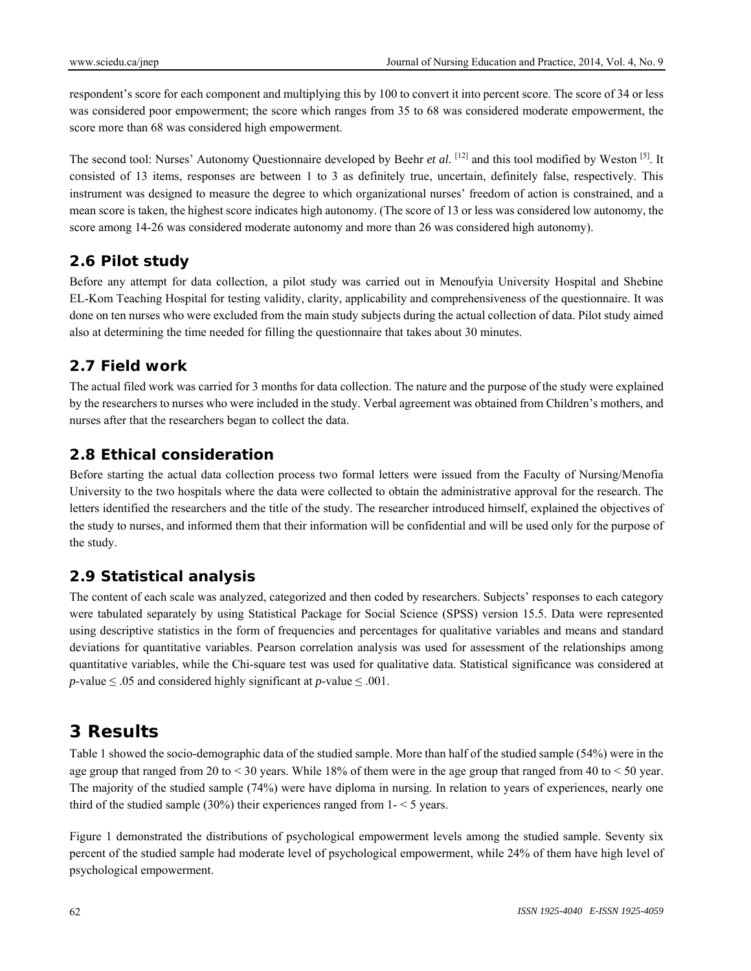respondent's score for each component and multiplying this by 100 to convert it into percent score. The score of 34 or less was considered poor empowerment; the score which ranges from 35 to 68 was considered moderate empowerment, the score more than 68 was considered high empowerment.

The second tool: Nurses' Autonomy Questionnaire developed by Beehr *et al.* [12] and this tool modified by Weston [5]. It consisted of 13 items, responses are between 1 to 3 as definitely true, uncertain, definitely false, respectively. This instrument was designed to measure the degree to which organizational nurses' freedom of action is constrained, and a mean score is taken, the highest score indicates high autonomy. (The score of 13 or less was considered low autonomy, the score among 14-26 was considered moderate autonomy and more than 26 was considered high autonomy).

#### **2.6 Pilot study**

Before any attempt for data collection, a pilot study was carried out in Menoufyia University Hospital and Shebine EL-Kom Teaching Hospital for testing validity, clarity, applicability and comprehensiveness of the questionnaire. It was done on ten nurses who were excluded from the main study subjects during the actual collection of data. Pilot study aimed also at determining the time needed for filling the questionnaire that takes about 30 minutes.

### **2.7 Field work**

The actual filed work was carried for 3 months for data collection. The nature and the purpose of the study were explained by the researchers to nurses who were included in the study. Verbal agreement was obtained from Children's mothers, and nurses after that the researchers began to collect the data.

### **2.8 Ethical consideration**

Before starting the actual data collection process two formal letters were issued from the Faculty of Nursing/Menofia University to the two hospitals where the data were collected to obtain the administrative approval for the research. The letters identified the researchers and the title of the study. The researcher introduced himself, explained the objectives of the study to nurses, and informed them that their information will be confidential and will be used only for the purpose of the study.

### **2.9 Statistical analysis**

The content of each scale was analyzed, categorized and then coded by researchers. Subjects' responses to each category were tabulated separately by using Statistical Package for Social Science (SPSS) version 15.5. Data were represented using descriptive statistics in the form of frequencies and percentages for qualitative variables and means and standard deviations for quantitative variables. Pearson correlation analysis was used for assessment of the relationships among quantitative variables, while the Chi-square test was used for qualitative data. Statistical significance was considered at *p*-value  $\leq 0.05$  and considered highly significant at *p*-value  $\leq 0.001$ .

# **3 Results**

Table 1 showed the socio-demographic data of the studied sample. More than half of the studied sample (54%) were in the age group that ranged from 20 to  $\lt$  30 years. While 18% of them were in the age group that ranged from 40 to  $\lt$  50 year. The majority of the studied sample (74%) were have diploma in nursing. In relation to years of experiences, nearly one third of the studied sample (30%) their experiences ranged from  $1 - \leq 5$  years.

Figure 1 demonstrated the distributions of psychological empowerment levels among the studied sample. Seventy six percent of the studied sample had moderate level of psychological empowerment, while 24% of them have high level of psychological empowerment.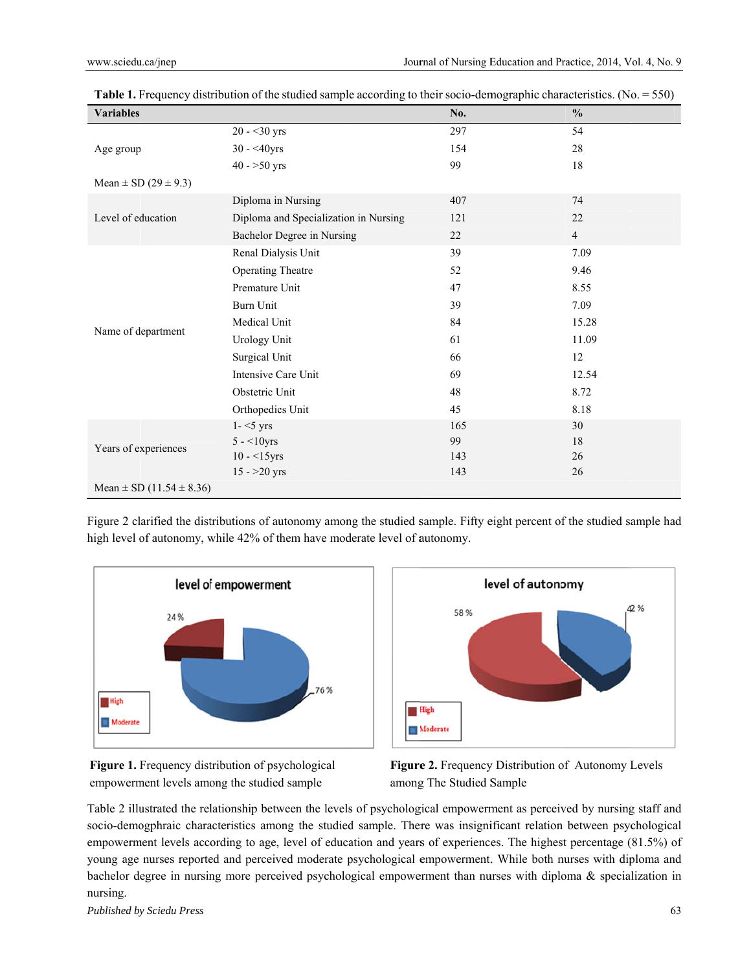| <b>Variables</b>                 |                                       | No. | $\frac{0}{0}$  |
|----------------------------------|---------------------------------------|-----|----------------|
|                                  | $20 - 30$ yrs                         | 297 | 54             |
| Age group                        | $30 - 40yrs$                          | 154 | 28             |
|                                  | $40 - 50$ yrs                         | 99  | 18             |
| Mean $\pm$ SD (29 $\pm$ 9.3)     |                                       |     |                |
|                                  | Diploma in Nursing                    | 407 | 74             |
| Level of education               | Diploma and Specialization in Nursing | 121 | 22             |
|                                  | Bachelor Degree in Nursing            | 22  | $\overline{4}$ |
|                                  | Renal Dialysis Unit                   | 39  | 7.09           |
|                                  | <b>Operating Theatre</b>              | 52  | 9.46           |
|                                  | Premature Unit                        | 47  | 8.55           |
|                                  | <b>Burn Unit</b>                      | 39  | 7.09           |
|                                  | Medical Unit                          | 84  | 15.28          |
| Name of department               | Urology Unit                          | 61  | 11.09          |
|                                  | Surgical Unit                         | 66  | 12             |
|                                  | Intensive Care Unit                   | 69  | 12.54          |
|                                  | Obstetric Unit                        | 48  | 8.72           |
|                                  | Orthopedics Unit                      | 45  | 8.18           |
|                                  | $1 - 5$ yrs                           | 165 | 30             |
| Years of experiences             | $5 - 10$ yrs                          | 99  | 18             |
|                                  | $10 - 15$ yrs                         | 143 | 26             |
|                                  | $15 - 20$ yrs                         | 143 | 26             |
| Mean $\pm$ SD (11.54 $\pm$ 8.36) |                                       |     |                |

Table 1. Frequency distribution of the studied sample according to their socio-demographic characteristics. (No. = 550)

Figure 2 clarified the distributions of autonomy among the studied sample. Fifty eight percent of the studied sample had high level of autonomy, while 42% of them have moderate level of autonomy.



Figure 1. Frequency distribution of psychological empowerment levels among the studied sample



Figure 2. Frequency Distribution of Autonomy Levels among g The Studied S Sample

Table 2 illustrated the relationship between the levels of psychological empowerment as perceived by nursing staff and socio-demogphraic characteristics among the studied sample. There was insignificant relation between psychological empowerment levels according to age, level of education and years of experiences. The highest percentage (81.5%) of young age nurses reported and perceived moderate psychological empowerment. While both nurses with diploma and bachelor degree in nursing more perceived psychological empowerment than nurses with diploma & specialization in nursing.

**Published by Sciedu Press**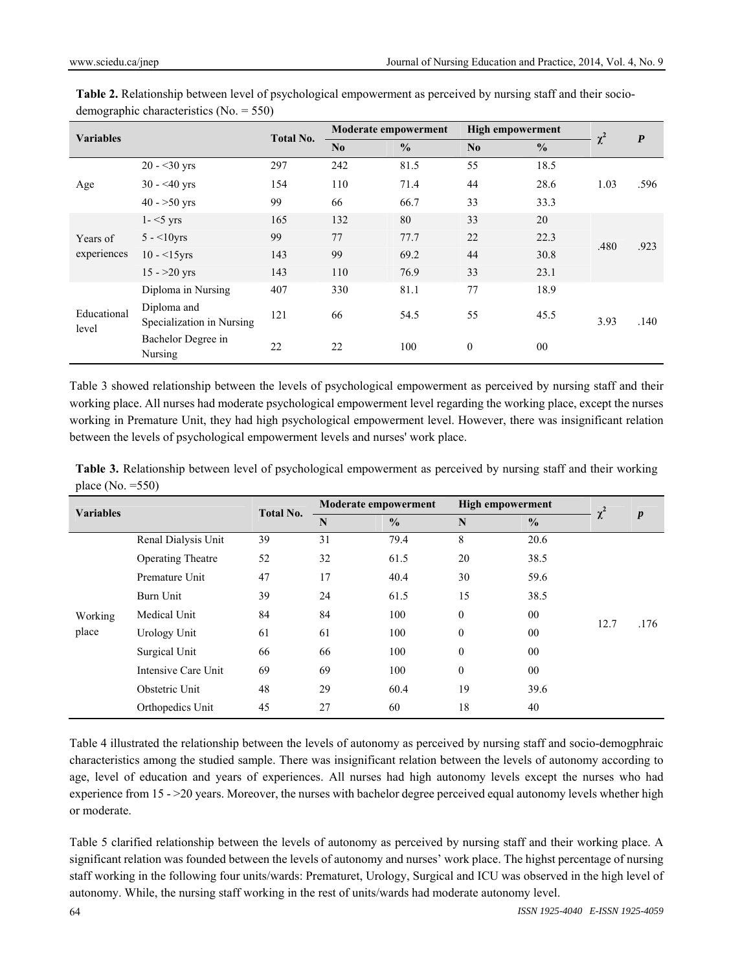| <b>Variables</b>        |                                          | <b>Total No.</b> | Moderate empowerment |               | <b>High empowerment</b> |               | $\chi^2$ | $\boldsymbol{P}$ |
|-------------------------|------------------------------------------|------------------|----------------------|---------------|-------------------------|---------------|----------|------------------|
|                         |                                          |                  | No.                  | $\frac{0}{0}$ | N <sub>0</sub>          | $\frac{0}{0}$ |          |                  |
|                         | $20 - 30$ yrs                            | 297              | 242                  | 81.5          | 55                      | 18.5          |          |                  |
| Age                     | $30 - 40$ yrs                            | 154              | 110                  | 71.4          | 44                      | 28.6          | 1.03     | .596             |
|                         | $40 - 50$ yrs                            | 99               | 66                   | 66.7          | 33                      | 33.3          |          |                  |
| Years of<br>experiences | $1 - 5$ yrs                              | 165              | 132                  | 80            | 33                      | 20            | .480     | .923             |
|                         | $5 - 10$ vrs                             | 99               | 77                   | 77.7          | 22                      | 22.3          |          |                  |
|                         | $10 - 15$ yrs                            | 143              | 99                   | 69.2          | 44                      | 30.8          |          |                  |
|                         | $15 - 20$ yrs                            | 143              | 110                  | 76.9          | 33                      | 23.1          |          |                  |
| Educational<br>level    | Diploma in Nursing                       | 407              | 330                  | 81.1          | 77                      | 18.9          |          |                  |
|                         | Diploma and<br>Specialization in Nursing | 121              | 66                   | 54.5          | 55                      | 45.5          | 3.93     | .140             |
|                         | Bachelor Degree in<br>Nursing            | 22               | 22                   | 100           | $\mathbf{0}$            | $00\,$        |          |                  |

**Table 2.** Relationship between level of psychological empowerment as perceived by nursing staff and their sociodemographic characteristics (No. = 550)

Table 3 showed relationship between the levels of psychological empowerment as perceived by nursing staff and their working place. All nurses had moderate psychological empowerment level regarding the working place, except the nurses working in Premature Unit, they had high psychological empowerment level. However, there was insignificant relation between the levels of psychological empowerment levels and nurses' work place.

| Table 3. Relationship between level of psychological empowerment as perceived by nursing staff and their working |  |  |  |  |
|------------------------------------------------------------------------------------------------------------------|--|--|--|--|
| place (No. $=550$ )                                                                                              |  |  |  |  |

| <b>Variables</b> |                          | <b>Total No.</b> | Moderate empowerment |               | <b>High empowerment</b> |               |      |                  |
|------------------|--------------------------|------------------|----------------------|---------------|-------------------------|---------------|------|------------------|
|                  |                          |                  | N                    | $\frac{0}{0}$ | ${\bf N}$               | $\frac{0}{0}$ |      | $\boldsymbol{p}$ |
|                  | Renal Dialysis Unit      | 39               | 31                   | 79.4          | 8                       | 20.6          | 12.7 | .176             |
|                  | <b>Operating Theatre</b> | 52               | 32                   | 61.5          | 20                      | 38.5          |      |                  |
| Working<br>place | Premature Unit           | 47               | 17                   | 40.4          | 30                      | 59.6          |      |                  |
|                  | Burn Unit                | 39               | 24                   | 61.5          | 15                      | 38.5          |      |                  |
|                  | Medical Unit             | 84               | 84                   | 100           | $\mathbf{0}$            | 00            |      |                  |
|                  | Urology Unit             | 61               | 61                   | 100           | $\mathbf{0}$            | 00            |      |                  |
|                  | Surgical Unit            | 66               | 66                   | 100           | $\theta$                | 00            |      |                  |
|                  | Intensive Care Unit      | 69               | 69                   | 100           | $\mathbf{0}$            | 00            |      |                  |
|                  | Obstetric Unit           | 48               | 29                   | 60.4          | 19                      | 39.6          |      |                  |
|                  | Orthopedics Unit         | 45               | 27                   | 60            | 18                      | 40            |      |                  |

Table 4 illustrated the relationship between the levels of autonomy as perceived by nursing staff and socio-demogphraic characteristics among the studied sample. There was insignificant relation between the levels of autonomy according to age, level of education and years of experiences. All nurses had high autonomy levels except the nurses who had experience from 15 - > 20 years. Moreover, the nurses with bachelor degree perceived equal autonomy levels whether high or moderate.

Table 5 clarified relationship between the levels of autonomy as perceived by nursing staff and their working place. A significant relation was founded between the levels of autonomy and nurses' work place. The highst percentage of nursing staff working in the following four units/wards: Prematuret, Urology, Surgical and ICU was observed in the high level of autonomy. While, the nursing staff working in the rest of units/wards had moderate autonomy level.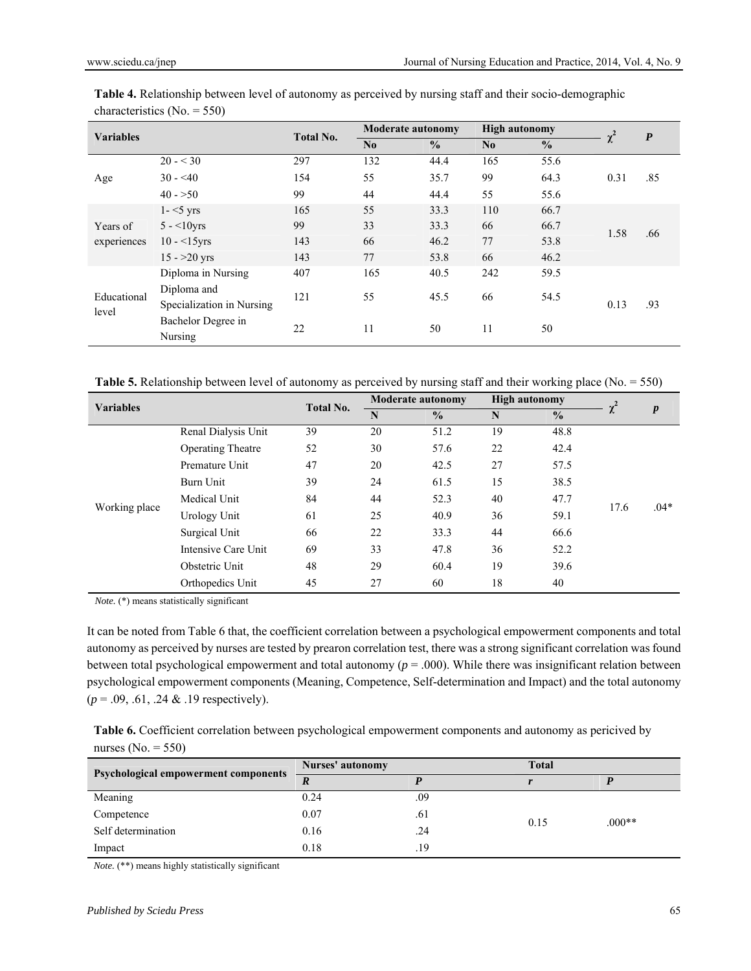| <b>Variables</b>        |                                          |                  |                        | Moderate autonomy |                | <b>High autonomy</b> |          |                  |
|-------------------------|------------------------------------------|------------------|------------------------|-------------------|----------------|----------------------|----------|------------------|
|                         |                                          | <b>Total No.</b> | $\mathbf{N}\mathbf{0}$ | $\frac{0}{0}$     | N <sub>0</sub> | $\frac{0}{0}$        | $\chi^2$ | $\boldsymbol{P}$ |
|                         | $20 - 30$                                | 297              | 132                    | 44.4              | 165            | 55.6                 |          |                  |
| Age                     | $30 - 540$                               | 154              | 55                     | 35.7              | 99             | 64.3                 | 0.31     | .85              |
|                         | $40 - 50$                                | 99               | 44                     | 44.4              | 55             | 55.6                 |          |                  |
| Years of<br>experiences | $1 - 5$ yrs                              | 165              | 55                     | 33.3              | 110            | 66.7                 |          |                  |
|                         | $5 - 10$ vrs                             | 99               | 33                     | 33.3              | 66             | 66.7                 | 1.58     | .66              |
|                         | $10 - 15$ yrs                            | 143              | 66                     | 46.2              | 77             | 53.8                 |          |                  |
|                         | $15 - 20$ yrs                            | 143              | 77                     | 53.8              | 66             | 46.2                 |          |                  |
|                         | Diploma in Nursing                       | 407              | 165                    | 40.5              | 242            | 59.5                 |          |                  |
| Educational<br>level    | Diploma and<br>Specialization in Nursing | 121              | 55                     | 45.5              | 66             | 54.5                 | 0.13     | .93              |
|                         | Bachelor Degree in<br>Nursing            | 22               | 11                     | 50                | 11             | 50                   |          |                  |

**Table 4.** Relationship between level of autonomy as perceived by nursing staff and their socio-demographic characteristics (No.  $=$  550)

**Table 5.** Relationship between level of autonomy as perceived by nursing staff and their working place (No. = 550)

| <b>Variables</b> |                          | <b>Total No.</b> | Moderate autonomy |               | <b>High autonomy</b> |               |      |                  |
|------------------|--------------------------|------------------|-------------------|---------------|----------------------|---------------|------|------------------|
|                  |                          |                  | N                 | $\frac{0}{0}$ | N                    | $\frac{0}{0}$ | V    | $\boldsymbol{p}$ |
|                  | Renal Dialysis Unit      | 39               | 20                | 51.2          | 19                   | 48.8          | 17.6 | $.04*$           |
|                  | <b>Operating Theatre</b> | 52               | 30                | 57.6          | 22                   | 42.4          |      |                  |
|                  | Premature Unit           | 47               | 20                | 42.5          | 27                   | 57.5          |      |                  |
|                  | Burn Unit                | 39               | 24                | 61.5          | 15                   | 38.5          |      |                  |
|                  | Medical Unit             | 84               | 44                | 52.3          | 40                   | 47.7          |      |                  |
| Working place    | Urology Unit             | 61               | 25                | 40.9          | 36                   | 59.1          |      |                  |
|                  | Surgical Unit            | 66               | 22                | 33.3          | 44                   | 66.6          |      |                  |
|                  | Intensive Care Unit      | 69               | 33                | 47.8          | 36                   | 52.2          |      |                  |
|                  | Obstetric Unit           | 48               | 29                | 60.4          | 19                   | 39.6          |      |                  |
|                  | Orthopedics Unit         | 45               | 27                | 60            | 18                   | 40            |      |                  |

*Note.* (\*) means statistically significant

It can be noted from Table 6 that, the coefficient correlation between a psychological empowerment components and total autonomy as perceived by nurses are tested by prearon correlation test, there was a strong significant correlation was found between total psychological empowerment and total autonomy (*p* = .000). While there was insignificant relation between psychological empowerment components (Meaning, Competence, Self-determination and Impact) and the total autonomy (*p* = .09, .61, .24 & .19 respectively).

**Table 6.** Coefficient correlation between psychological empowerment components and autonomy as pericived by nurses (No.  $= 550$ )

| Psychological empowerment components | Nurses' autonomy |     | <b>Total</b> |          |  |
|--------------------------------------|------------------|-----|--------------|----------|--|
|                                      |                  |     |              |          |  |
| Meaning                              | 0.24             | .09 |              |          |  |
| Competence                           | 0.07             | .61 | 0.15         |          |  |
| Self determination                   | 0.16             | .24 |              | $0.00**$ |  |
| Impact                               | 0.18             | .19 |              |          |  |

*Note.* (\*\*) means highly statistically significant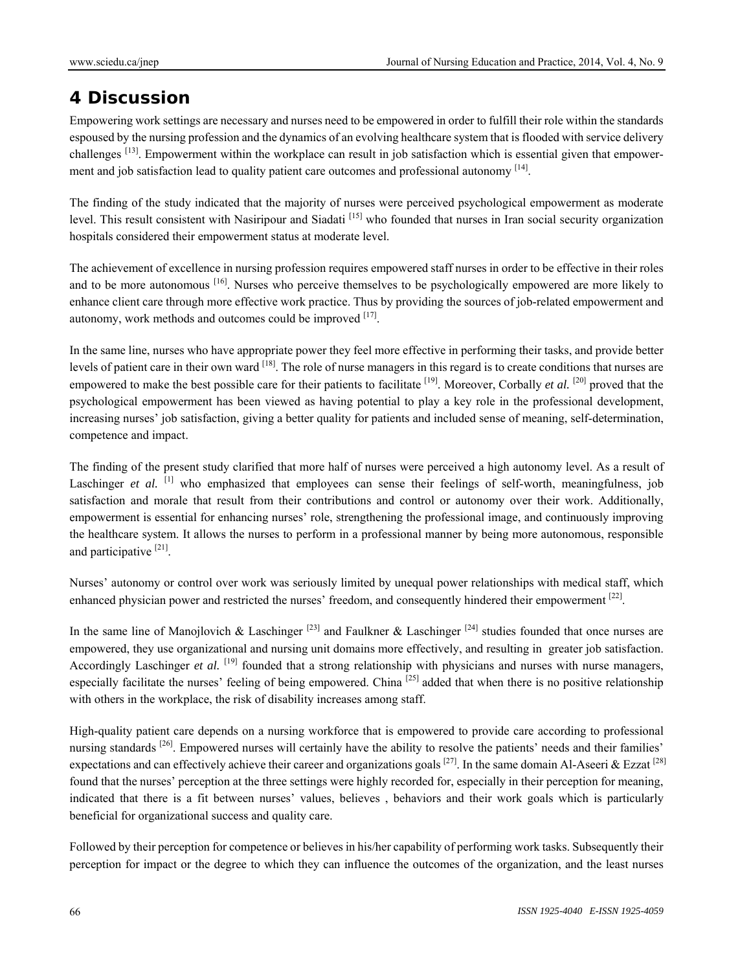### **4 Discussion**

Empowering work settings are necessary and nurses need to be empowered in order to fulfill their role within the standards espoused by the nursing profession and the dynamics of an evolving healthcare system that is flooded with service delivery challenges  $[13]$ . Empowerment within the workplace can result in job satisfaction which is essential given that empowerment and job satisfaction lead to quality patient care outcomes and professional autonomy  $[14]$ .

The finding of the study indicated that the majority of nurses were perceived psychological empowerment as moderate level. This result consistent with Nasiripour and Siadati [15] who founded that nurses in Iran social security organization hospitals considered their empowerment status at moderate level.

The achievement of excellence in nursing profession requires empowered staff nurses in order to be effective in their roles and to be more autonomous <sup>[16]</sup>. Nurses who perceive themselves to be psychologically empowered are more likely to enhance client care through more effective work practice. Thus by providing the sources of job-related empowerment and autonomy, work methods and outcomes could be improved  $[17]$ .

In the same line, nurses who have appropriate power they feel more effective in performing their tasks, and provide better levels of patient care in their own ward [18]. The role of nurse managers in this regard is to create conditions that nurses are empowered to make the best possible care for their patients to facilitate  $[19]$ . Moreover, Corbally *et al.*  $[20]$  proved that the psychological empowerment has been viewed as having potential to play a key role in the professional development, increasing nurses' job satisfaction, giving a better quality for patients and included sense of meaning, self-determination, competence and impact.

The finding of the present study clarified that more half of nurses were perceived a high autonomy level. As a result of Laschinger *et al.* <sup>[1]</sup> who emphasized that employees can sense their feelings of self-worth, meaningfulness, job satisfaction and morale that result from their contributions and control or autonomy over their work. Additionally, empowerment is essential for enhancing nurses' role, strengthening the professional image, and continuously improving the healthcare system. It allows the nurses to perform in a professional manner by being more autonomous, responsible and participative <sup>[21]</sup>.

Nurses' autonomy or control over work was seriously limited by unequal power relationships with medical staff, which enhanced physician power and restricted the nurses' freedom, and consequently hindered their empowerment [22].

In the same line of Manojlovich & Laschinger  $[23]$  and Faulkner & Laschinger  $[24]$  studies founded that once nurses are empowered, they use organizational and nursing unit domains more effectively, and resulting in greater job satisfaction. Accordingly Laschinger *et al.* <sup>[19]</sup> founded that a strong relationship with physicians and nurses with nurse managers, especially facilitate the nurses' feeling of being empowered. China [25] added that when there is no positive relationship with others in the workplace, the risk of disability increases among staff.

High-quality patient care depends on a nursing workforce that is empowered to provide care according to professional nursing standards <sup>[26]</sup>. Empowered nurses will certainly have the ability to resolve the patients' needs and their families' expectations and can effectively achieve their career and organizations goals <sup>[27]</sup>. In the same domain Al-Aseeri & Ezzat <sup>[28]</sup> found that the nurses' perception at the three settings were highly recorded for, especially in their perception for meaning, indicated that there is a fit between nurses' values, believes , behaviors and their work goals which is particularly beneficial for organizational success and quality care.

Followed by their perception for competence or believes in his/her capability of performing work tasks. Subsequently their perception for impact or the degree to which they can influence the outcomes of the organization, and the least nurses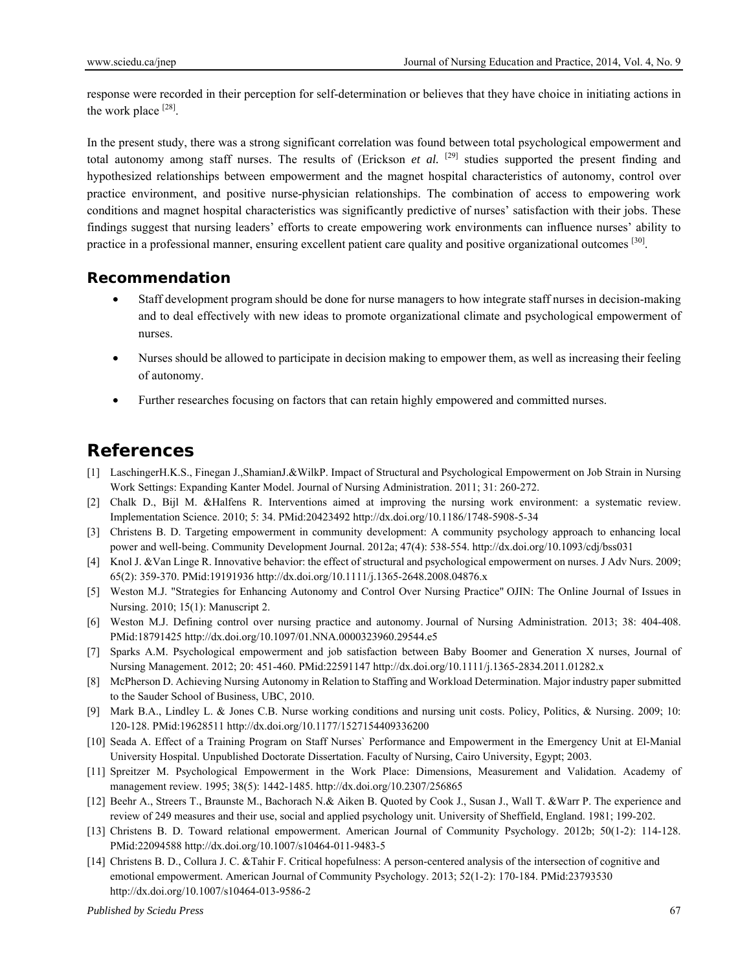response were recorded in their perception for self-determination or believes that they have choice in initiating actions in the work place [28].

In the present study, there was a strong significant correlation was found between total psychological empowerment and total autonomy among staff nurses. The results of (Erickson *et al.* <sup>[29]</sup> studies supported the present finding and hypothesized relationships between empowerment and the magnet hospital characteristics of autonomy, control over practice environment, and positive nurse-physician relationships. The combination of access to empowering work conditions and magnet hospital characteristics was significantly predictive of nurses' satisfaction with their jobs. These findings suggest that nursing leaders' efforts to create empowering work environments can influence nurses' ability to practice in a professional manner, ensuring excellent patient care quality and positive organizational outcomes [30].

#### **Recommendation**

- Staff development program should be done for nurse managers to how integrate staff nurses in decision-making and to deal effectively with new ideas to promote organizational climate and psychological empowerment of nurses.
- Nurses should be allowed to participate in decision making to empower them, as well as increasing their feeling of autonomy.
- Further researches focusing on factors that can retain highly empowered and committed nurses.

# **References**

- [1] LaschingerH.K.S., Finegan J.,ShamianJ.&WilkP. Impact of Structural and Psychological Empowerment on Job Strain in Nursing Work Settings: Expanding Kanter Model. Journal of Nursing Administration. 2011; 31: 260-272.
- [2] Chalk D., Bijl M. &Halfens R. Interventions aimed at improving the nursing work environment: a systematic review. Implementation Science. 2010; 5: 34. PMid:20423492 http://dx.doi.org/10.1186/1748-5908-5-34
- [3] Christens B. D. Targeting empowerment in community development: A community psychology approach to enhancing local power and well-being. Community Development Journal. 2012a; 47(4): 538-554. http://dx.doi.org/10.1093/cdj/bss031
- [4] Knol J. &Van Linge R. Innovative behavior: the effect of structural and psychological empowerment on nurses. J Adv Nurs. 2009; 65(2): 359-370. PMid:19191936 http://dx.doi.org/10.1111/j.1365-2648.2008.04876.x
- [5] Weston M.J. "Strategies for Enhancing Autonomy and Control Over Nursing Practice" OJIN: The Online Journal of Issues in Nursing. 2010; 15(1): Manuscript 2.
- [6] Weston M.J. Defining control over nursing practice and autonomy. Journal of Nursing Administration. 2013; 38: 404-408. PMid:18791425 http://dx.doi.org/10.1097/01.NNA.0000323960.29544.e5
- [7] Sparks A.M. Psychological empowerment and job satisfaction between Baby Boomer and Generation X nurses, Journal of Nursing Management. 2012; 20: 451-460. PMid:22591147 http://dx.doi.org/10.1111/j.1365-2834.2011.01282.x
- [8] McPherson D. Achieving Nursing Autonomy in Relation to Staffing and Workload Determination. Major industry paper submitted to the Sauder School of Business, UBC, 2010.
- [9] Mark B.A., Lindley L. & Jones C.B. Nurse working conditions and nursing unit costs. Policy, Politics, & Nursing. 2009; 10: 120-128. PMid:19628511 http://dx.doi.org/10.1177/1527154409336200
- [10] Seada A. Effect of a Training Program on Staff Nurses` Performance and Empowerment in the Emergency Unit at El-Manial University Hospital. Unpublished Doctorate Dissertation. Faculty of Nursing, Cairo University, Egypt; 2003.
- [11] Spreitzer M. Psychological Empowerment in the Work Place: Dimensions, Measurement and Validation. Academy of management review. 1995; 38(5): 1442-1485. http://dx.doi.org/10.2307/256865
- [12] Beehr A., Streers T., Braunste M., Bachorach N.& Aiken B. Quoted by Cook J., Susan J., Wall T. &Warr P. The experience and review of 249 measures and their use, social and applied psychology unit. University of Sheffield, England. 1981; 199-202.
- [13] Christens B. D. Toward relational empowerment. American Journal of Community Psychology. 2012b; 50(1-2): 114-128. PMid:22094588 http://dx.doi.org/10.1007/s10464-011-9483-5
- [14] Christens B. D., Collura J. C. &Tahir F. Critical hopefulness: A person-centered analysis of the intersection of cognitive and emotional empowerment. American Journal of Community Psychology. 2013; 52(1-2): 170-184. PMid:23793530 http://dx.doi.org/10.1007/s10464-013-9586-2

*Published by Sciedu Press* 67